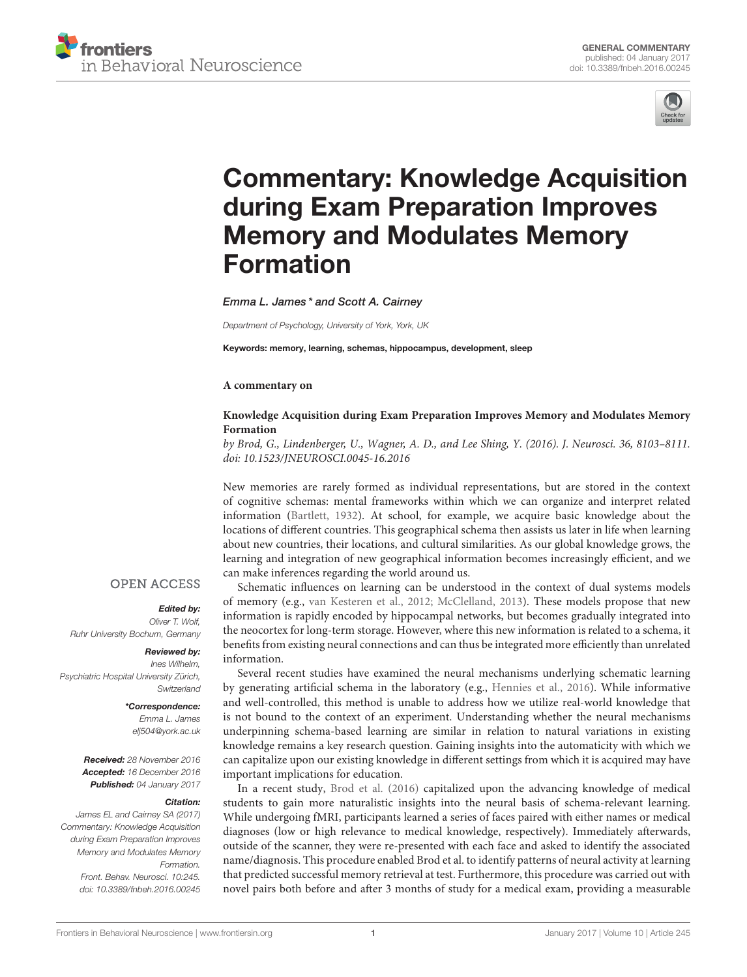



# [Commentary: Knowledge Acquisition](http://journal.frontiersin.org/article/10.3389/fnbeh.2016.00245/full) during Exam Preparation Improves Memory and Modulates Memory Formation

[Emma L. James](http://loop.frontiersin.org/people/388638/overview) \* and Scott A. Cairney

Department of Psychology, University of York, York, UK

Keywords: memory, learning, schemas, hippocampus, development, sleep

#### **A commentary on**

#### **Knowledge Acquisition during Exam Preparation Improves Memory and Modulates Memory Formation**

by Brod, G., Lindenberger, U., Wagner, A. D., and Lee Shing, Y. (2016). J. Neurosci. 36, 8103–8111. doi: [10.1523/JNEUROSCI.0045-16.2016](https://doi.org/10.1523/JNEUROSCI.0045-16.2016)

New memories are rarely formed as individual representations, but are stored in the context of cognitive schemas: mental frameworks within which we can organize and interpret related information [\(Bartlett, 1932\)](#page-1-0). At school, for example, we acquire basic knowledge about the locations of different countries. This geographical schema then assists us later in life when learning about new countries, their locations, and cultural similarities. As our global knowledge grows, the learning and integration of new geographical information becomes increasingly efficient, and we can make inferences regarding the world around us.

Schematic influences on learning can be understood in the context of dual systems models of memory (e.g., [van Kesteren et al., 2012;](#page-2-0) [McClelland, 2013\)](#page-2-1). These models propose that new information is rapidly encoded by hippocampal networks, but becomes gradually integrated into the neocortex for long-term storage. However, where this new information is related to a schema, it benefits from existing neural connections and can thus be integrated more efficiently than unrelated information.

Several recent studies have examined the neural mechanisms underlying schematic learning by generating artificial schema in the laboratory (e.g., [Hennies et al., 2016\)](#page-1-1). While informative and well-controlled, this method is unable to address how we utilize real-world knowledge that is not bound to the context of an experiment. Understanding whether the neural mechanisms underpinning schema-based learning are similar in relation to natural variations in existing knowledge remains a key research question. Gaining insights into the automaticity with which we can capitalize upon our existing knowledge in different settings from which it is acquired may have important implications for education.

In a recent study, [Brod et al. \(2016\)](#page-1-2) capitalized upon the advancing knowledge of medical students to gain more naturalistic insights into the neural basis of schema-relevant learning. While undergoing fMRI, participants learned a series of faces paired with either names or medical diagnoses (low or high relevance to medical knowledge, respectively). Immediately afterwards, outside of the scanner, they were re-presented with each face and asked to identify the associated name/diagnosis. This procedure enabled Brod et al. to identify patterns of neural activity at learning that predicted successful memory retrieval at test. Furthermore, this procedure was carried out with novel pairs both before and after 3 months of study for a medical exam, providing a measurable

## **OPEN ACCESS**

## Edited by:

Oliver T. Wolf, Ruhr University Bochum, Germany

#### Reviewed by:

Ines Wilhelm, Psychiatric Hospital University Zürich, **Switzerland** 

#### \*Correspondence:

Emma L. James [elj504@york.ac.uk](mailto:elj504@york.ac.uk)

Received: 28 November 2016 Accepted: 16 December 2016 Published: 04 January 2017

#### Citation:

James EL and Cairney SA (2017) Commentary: Knowledge Acquisition during Exam Preparation Improves Memory and Modulates Memory Formation. Front. Behav. Neurosci. 10:245. doi: [10.3389/fnbeh.2016.00245](https://doi.org/10.3389/fnbeh.2016.00245)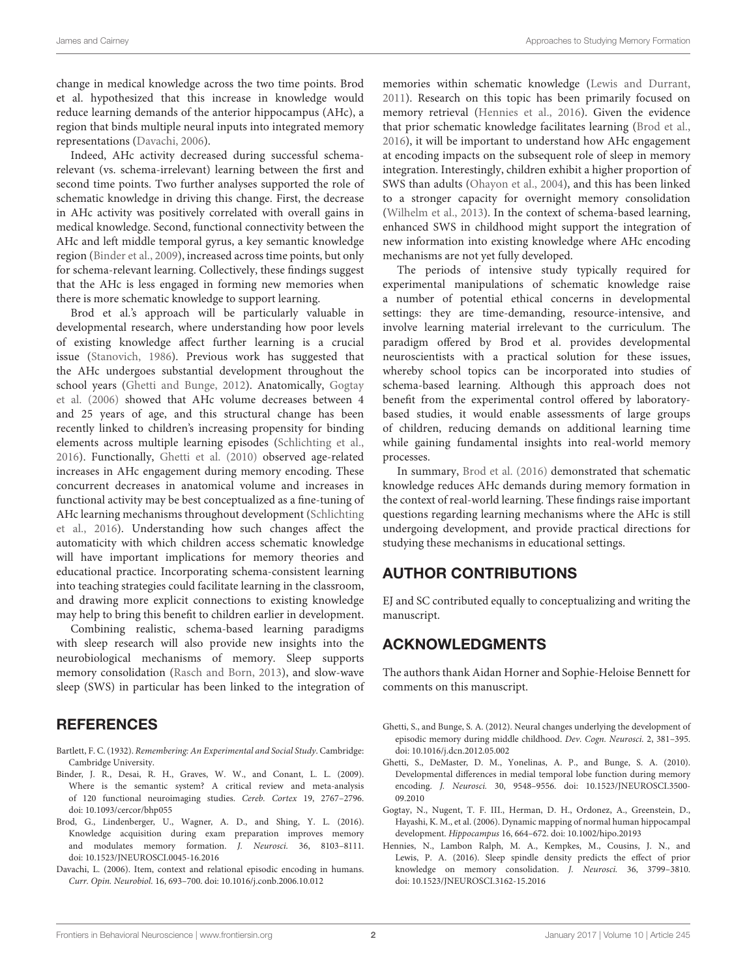change in medical knowledge across the two time points. Brod et al. hypothesized that this increase in knowledge would reduce learning demands of the anterior hippocampus (AHc), a region that binds multiple neural inputs into integrated memory representations [\(Davachi, 2006\)](#page-1-3).

Indeed, AHc activity decreased during successful schemarelevant (vs. schema-irrelevant) learning between the first and second time points. Two further analyses supported the role of schematic knowledge in driving this change. First, the decrease in AHc activity was positively correlated with overall gains in medical knowledge. Second, functional connectivity between the AHc and left middle temporal gyrus, a key semantic knowledge region [\(Binder et al., 2009\)](#page-1-4), increased across time points, but only for schema-relevant learning. Collectively, these findings suggest that the AHc is less engaged in forming new memories when there is more schematic knowledge to support learning.

Brod et al.'s approach will be particularly valuable in developmental research, where understanding how poor levels of existing knowledge affect further learning is a crucial issue [\(Stanovich, 1986\)](#page-2-2). Previous work has suggested that the AHc undergoes substantial development throughout the school years [\(Ghetti and Bunge, 2012\)](#page-1-5). Anatomically, Gogtay et al. [\(2006\)](#page-1-6) showed that AHc volume decreases between 4 and 25 years of age, and this structural change has been recently linked to children's increasing propensity for binding elements across multiple learning episodes [\(Schlichting et al.,](#page-2-3) [2016\)](#page-2-3). Functionally, [Ghetti et al. \(2010\)](#page-1-7) observed age-related increases in AHc engagement during memory encoding. These concurrent decreases in anatomical volume and increases in functional activity may be best conceptualized as a fine-tuning of AHc learning mechanisms throughout development (Schlichting et al., [2016\)](#page-2-3). Understanding how such changes affect the automaticity with which children access schematic knowledge will have important implications for memory theories and educational practice. Incorporating schema-consistent learning into teaching strategies could facilitate learning in the classroom, and drawing more explicit connections to existing knowledge may help to bring this benefit to children earlier in development.

Combining realistic, schema-based learning paradigms with sleep research will also provide new insights into the neurobiological mechanisms of memory. Sleep supports memory consolidation [\(Rasch and Born, 2013\)](#page-2-4), and slow-wave sleep (SWS) in particular has been linked to the integration of

# **REFERENCES**

- <span id="page-1-0"></span>Bartlett, F. C. (1932). Remembering: An Experimental and Social Study. Cambridge: Cambridge University.
- <span id="page-1-4"></span>Binder, J. R., Desai, R. H., Graves, W. W., and Conant, L. L. (2009). Where is the semantic system? A critical review and meta-analysis of 120 functional neuroimaging studies. Cereb. Cortex 19, 2767–2796. doi: [10.1093/cercor/bhp055](https://doi.org/10.1093/cercor/bhp055)
- <span id="page-1-2"></span>Brod, G., Lindenberger, U., Wagner, A. D., and Shing, Y. L. (2016). Knowledge acquisition during exam preparation improves memory and modulates memory formation. J. Neurosci. 36, 8103–8111. doi: [10.1523/JNEUROSCI.0045-16.2016](https://doi.org/10.1523/JNEUROSCI.0045-16.2016)
- <span id="page-1-3"></span>Davachi, L. (2006). Item, context and relational episodic encoding in humans. Curr. Opin. Neurobiol. 16, 693–700. doi: [10.1016/j.conb.2006.10.012](https://doi.org/10.1016/j.conb.2006.10.012)

memories within schematic knowledge [\(Lewis and Durrant,](#page-2-5) [2011\)](#page-2-5). Research on this topic has been primarily focused on memory retrieval [\(Hennies et al., 2016\)](#page-1-1). Given the evidence that prior schematic knowledge facilitates learning [\(Brod et al.,](#page-1-2) [2016\)](#page-1-2), it will be important to understand how AHc engagement at encoding impacts on the subsequent role of sleep in memory integration. Interestingly, children exhibit a higher proportion of SWS than adults [\(Ohayon et al., 2004\)](#page-2-6), and this has been linked to a stronger capacity for overnight memory consolidation [\(Wilhelm et al., 2013\)](#page-2-7). In the context of schema-based learning, enhanced SWS in childhood might support the integration of new information into existing knowledge where AHc encoding mechanisms are not yet fully developed.

The periods of intensive study typically required for experimental manipulations of schematic knowledge raise a number of potential ethical concerns in developmental settings: they are time-demanding, resource-intensive, and involve learning material irrelevant to the curriculum. The paradigm offered by Brod et al. provides developmental neuroscientists with a practical solution for these issues, whereby school topics can be incorporated into studies of schema-based learning. Although this approach does not benefit from the experimental control offered by laboratorybased studies, it would enable assessments of large groups of children, reducing demands on additional learning time while gaining fundamental insights into real-world memory processes.

In summary, [Brod et al. \(2016\)](#page-1-2) demonstrated that schematic knowledge reduces AHc demands during memory formation in the context of real-world learning. These findings raise important questions regarding learning mechanisms where the AHc is still undergoing development, and provide practical directions for studying these mechanisms in educational settings.

# AUTHOR CONTRIBUTIONS

EJ and SC contributed equally to conceptualizing and writing the manuscript.

# ACKNOWLEDGMENTS

The authors thank Aidan Horner and Sophie-Heloise Bennett for comments on this manuscript.

- <span id="page-1-5"></span>Ghetti, S., and Bunge, S. A. (2012). Neural changes underlying the development of episodic memory during middle childhood. Dev. Cogn. Neurosci. 2, 381–395. doi: [10.1016/j.dcn.2012.05.002](https://doi.org/10.1016/j.dcn.2012.05.002)
- <span id="page-1-7"></span>Ghetti, S., DeMaster, D. M., Yonelinas, A. P., and Bunge, S. A. (2010). Developmental differences in medial temporal lobe function during memory encoding. J. Neurosci. [30, 9548–9556. doi: 10.1523/JNEUROSCI.3500-](https://doi.org/10.1523/JNEUROSCI.3500-09.2010) 09.2010
- <span id="page-1-6"></span>Gogtay, N., Nugent, T. F. III., Herman, D. H., Ordonez, A., Greenstein, D., Hayashi, K. M., et al. (2006). Dynamic mapping of normal human hippocampal development. Hippocampus 16, 664–672. doi: [10.1002/hipo.20193](https://doi.org/10.1002/hipo.20193)
- <span id="page-1-1"></span>Hennies, N., Lambon Ralph, M. A., Kempkes, M., Cousins, J. N., and Lewis, P. A. (2016). Sleep spindle density predicts the effect of prior knowledge on memory consolidation. J. Neurosci. 36, 3799–3810. doi: [10.1523/JNEUROSCI.3162-15.2016](https://doi.org/10.1523/JNEUROSCI.3162-15.2016)